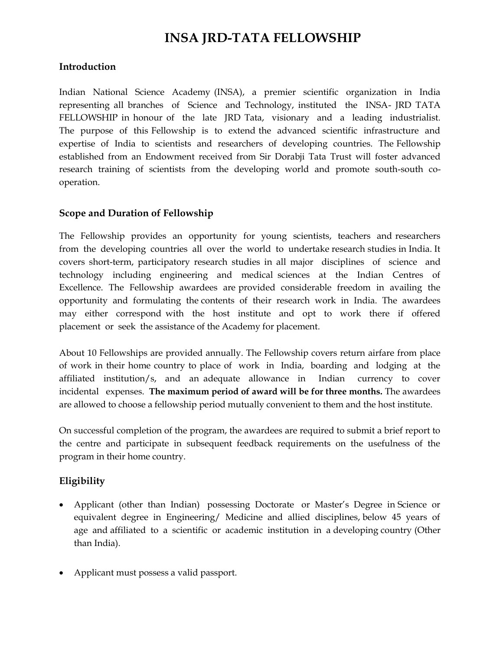# **INSA JRD-TATA FELLOWSHIP**

#### **Introduction**

Indian National Science Academy (INSA), a premier scientific organization in India representing all branches of Science and Technology, instituted the INSA- JRD TATA FELLOWSHIP in honour of the late JRD Tata, visionary and a leading industrialist. The purpose of this Fellowship is to extend the advanced scientific infrastructure and expertise of India to scientists and researchers of developing countries. The Fellowship established from an Endowment received from Sir Dorabji Tata Trust will foster advanced research training of scientists from the developing world and promote south-south cooperation.

### **Scope and Duration of Fellowship**

The Fellowship provides an opportunity for young scientists, teachers and researchers from the developing countries all over the world to undertake research studies in India. It covers short-term, participatory research studies in all major disciplines of science and technology including engineering and medical sciences at the Indian Centres of Excellence. The Fellowship awardees are provided considerable freedom in availing the opportunity and formulating the contents of their research work in India. The awardees may either correspond with the host institute and opt to work there if offered placement or seek the assistance of the Academy for placement.

About 10 Fellowships are provided annually. The Fellowship covers return airfare from place of work in their home country to place of work in India, boarding and lodging at the affiliated institution/s, and an adequate allowance in Indian currency to cover incidental expenses. **The maximum period of award will be for three months.** The awardees are allowed to choose a fellowship period mutually convenient to them and the host institute.

On successful completion of the program, the awardees are required to submit a brief report to the centre and participate in subsequent feedback requirements on the usefulness of the program in their home country.

## **Eligibility**

- Applicant (other than Indian) possessing Doctorate or Master's Degree in Science or equivalent degree in Engineering/ Medicine and allied disciplines, below 45 years of age and affiliated to a scientific or academic institution in a developing country (Other than India).
- Applicant must possess a valid passport.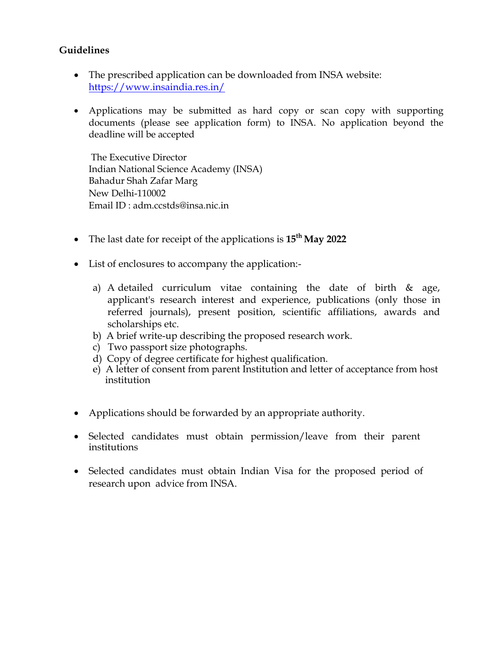## **Guidelines**

- The prescribed application can be downloaded from INSA website: <https://www.insaindia.res.in/>
- Applications may be submitted as hard copy or scan copy with supporting documents (please see application form) to INSA. No application beyond the deadline will be accepted

The Executive Director Indian National Science Academy (INSA) Bahadur Shah Zafar Marg New Delhi-110002 Email ID : adm.ccstds@insa.nic.in

- The last date for receipt of the applications is **15th May 2022**
- List of enclosures to accompany the application:
	- a) A detailed curriculum vitae containing the date of birth & age, applicant's research interest and experience, publications (only those in referred journals), present position, scientific affiliations, awards and scholarships etc.
	- b) A brief write-up describing the proposed research work.
	- c) Two passport size photographs.
	- d) Copy of degree certificate for highest qualification.
	- e) A letter of consent from parent Institution and letter of acceptance from host institution
- Applications should be forwarded by an appropriate authority.
- Selected candidates must obtain permission/leave from their parent institutions
- Selected candidates must obtain Indian Visa for the proposed period of research upon advice from INSA.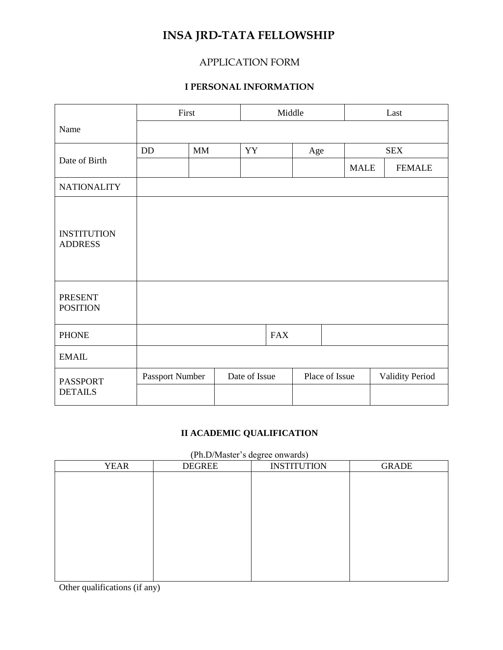# **INSA JRD-TATA FELLOWSHIP**

## APPLICATION FORM

## **I PERSONAL INFORMATION**

|                                      | First           |               | Middle |                | Last |             |                        |               |
|--------------------------------------|-----------------|---------------|--------|----------------|------|-------------|------------------------|---------------|
| Name                                 |                 |               |        |                |      |             |                        |               |
|                                      | DD              | $\mbox{MM}$   | YY     |                | Age  | <b>SEX</b>  |                        |               |
| Date of Birth                        |                 |               |        |                |      | <b>MALE</b> |                        | <b>FEMALE</b> |
| <b>NATIONALITY</b>                   |                 |               |        |                |      |             |                        |               |
| <b>INSTITUTION</b><br><b>ADDRESS</b> |                 |               |        |                |      |             |                        |               |
| <b>PRESENT</b><br><b>POSITION</b>    |                 |               |        |                |      |             |                        |               |
| <b>PHONE</b>                         |                 |               |        | <b>FAX</b>     |      |             |                        |               |
| <b>EMAIL</b>                         |                 |               |        |                |      |             |                        |               |
| <b>PASSPORT</b>                      | Passport Number | Date of Issue |        | Place of Issue |      |             | <b>Validity Period</b> |               |
| <b>DETAILS</b>                       |                 |               |        |                |      |             |                        |               |

## **II ACADEMIC QUALIFICATION**

#### (Ph.D/Master's degree onwards)

| <b>YEAR</b> | <b>DEGREE</b> | o<br><b>INSTITUTION</b> | <b>GRADE</b> |
|-------------|---------------|-------------------------|--------------|
|             |               |                         |              |
|             |               |                         |              |
|             |               |                         |              |
|             |               |                         |              |
|             |               |                         |              |
|             |               |                         |              |
|             |               |                         |              |
|             |               |                         |              |
|             |               |                         |              |

Other qualifications (if any)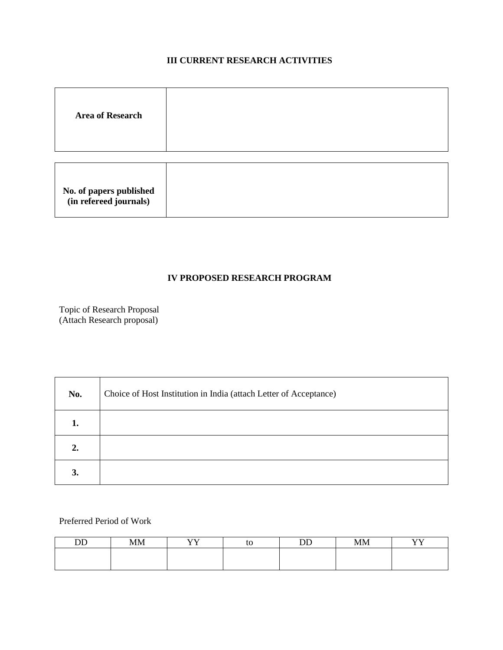## **III CURRENT RESEARCH ACTIVITIES**

| <b>Area of Research</b> |  |
|-------------------------|--|
|                         |  |
|                         |  |

| No. of papers published<br>(in refereed journals) |  |
|---------------------------------------------------|--|
|---------------------------------------------------|--|

#### **IV PROPOSED RESEARCH PROGRAM**

Topic of Research Proposal (Attach Research proposal)

| No.              | Choice of Host Institution in India (attach Letter of Acceptance) |
|------------------|-------------------------------------------------------------------|
|                  |                                                                   |
| $\overline{2}$ . |                                                                   |
| 3.               |                                                                   |

Preferred Period of Work

| <u>nn</u> | <b>MM</b> | <b>TTT</b><br>ж, | tc | $\mathbf{r}$ | <b>MM</b> | <b>XTXT</b> |
|-----------|-----------|------------------|----|--------------|-----------|-------------|
|           |           |                  |    |              |           |             |
|           |           |                  |    |              |           |             |